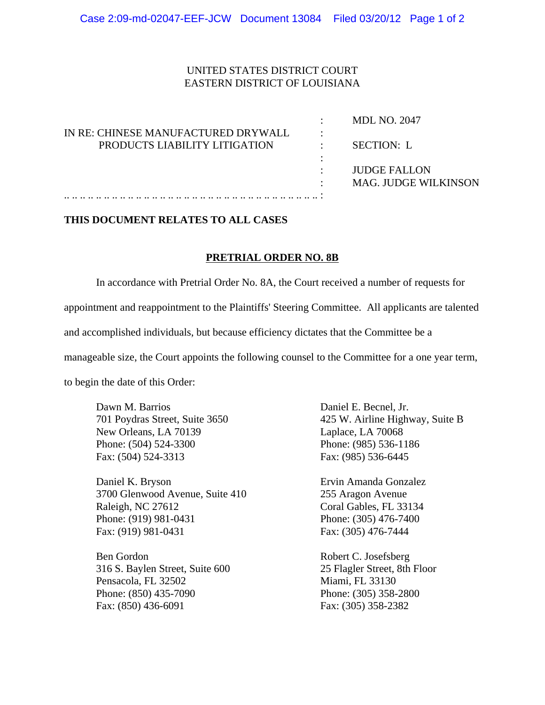## UNITED STATES DISTRICT COURT EASTERN DISTRICT OF LOUISIANA

|                                     | <b>MDL NO. 2047</b>         |
|-------------------------------------|-----------------------------|
| IN RE: CHINESE MANUFACTURED DRYWALL |                             |
| PRODUCTS LIABILITY LITIGATION       | <b>SECTION: L</b>           |
|                                     |                             |
|                                     | <b>JUDGE FALLON</b>         |
|                                     | <b>MAG. JUDGE WILKINSON</b> |
|                                     |                             |

## **THIS DOCUMENT RELATES TO ALL CASES**

## **PRETRIAL ORDER NO. 8B**

In accordance with Pretrial Order No. 8A, the Court received a number of requests for appointment and reappointment to the Plaintiffs' Steering Committee. All applicants are talented and accomplished individuals, but because efficiency dictates that the Committee be a

manageable size, the Court appoints the following counsel to the Committee for a one year term,

to begin the date of this Order:

Dawn M. Barrios Daniel E. Becnel, Jr. New Orleans, LA 70139 Laplace, LA 70068 Phone: (504) 524-3300 Phone: (985) 536-1186 Fax: (504) 524-3313 Fax: (985) 536-6445

Daniel K. Bryson Ervin Amanda Gonzalez 3700 Glenwood Avenue, Suite 410 255 Aragon Avenue Raleigh, NC 27612 Coral Gables, FL 33134 Phone: (919) 981-0431 Phone: (305) 476-7400 Fax: (919) 981-0431 Fax: (305) 476-7444

Ben Gordon Robert C. Josefsberg 316 S. Baylen Street, Suite 600 25 Flagler Street, 8th Floor Pensacola, FL 32502 Miami, FL 33130 Phone: (850) 435-7090 Phone: (305) 358-2800 Fax: (850) 436-6091 Fax: (305) 358-2382

701 Poydras Street, Suite 3650 425 W. Airline Highway, Suite B